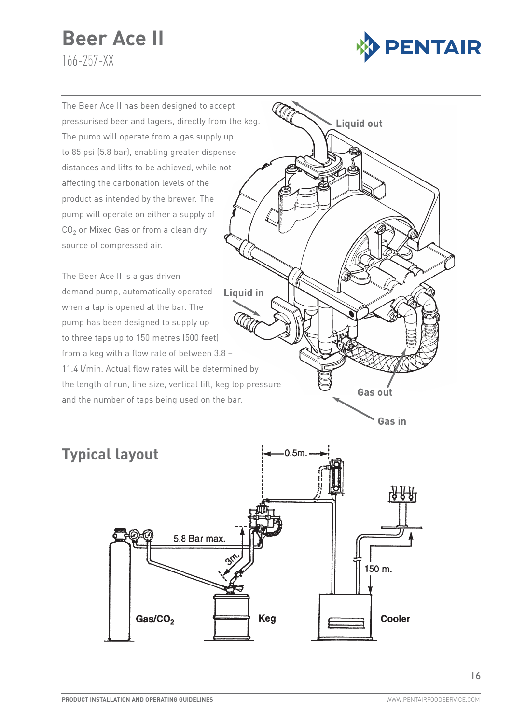# **Beer Ace II** 166-257-XX



The Beer Ace II has been designed to accept pressurised beer and lagers, directly from the keg. The pump will operate from a gas supply up to 85 psi (5.8 bar), enabling greater dispense distances and lifts to be achieved, while not affecting the carbonation levels of the product as intended by the brewer. The pump will operate on either a supply of  $CO<sub>2</sub>$  or Mixed Gas or from a clean dry source of compressed air.

The Beer Ace II is a gas driven demand pump, automatically operated when a tap is opened at the bar. The pump has been designed to supply up to three taps up to 150 metres (500 feet) from a keg with a flow rate of between 3.8 – 11.4 l/min. Actual flow rates will be determined by the length of run, line size, vertical lift, keg top pressure and the number of taps being used on the bar. **Liquid in**



# **Typical layout** $0.5m$ . 5.8 Bar max. 150 m. Gas/CO<sub>2</sub> **Keg Cooler**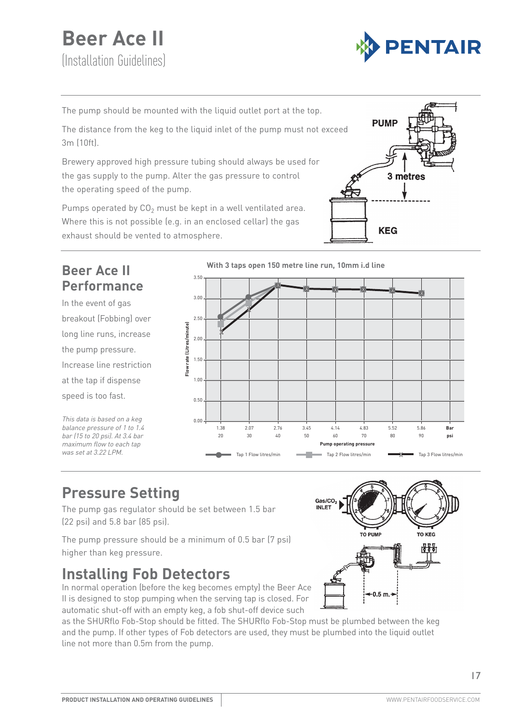# **Beer Ace II**  (Installation Guidelines)



The pump should be mounted with the liquid outlet port at the top.

The distance from the keg to the liquid inlet of the pump must not exceed 3m (10ft).

Brewery approved high pressure tubing should always be used for the gas supply to the pump. Alter the gas pressure to control the operating speed of the pump.

Pumps operated by  $CO<sub>2</sub>$  must be kept in a well ventilated area. Where this is not possible (e.g. in an enclosed cellar) the gas exhaust should be vented to atmosphere.





## **Pressure Setting**

The pump gas regulator should be set between 1.5 bar (22 psi) and 5.8 bar (85 psi).

The pump pressure should be a minimum of 0.5 bar (7 psi) higher than keg pressure.

## **Installing Fob Detectors**

In normal operation (before the keg becomes empty) the Beer Ace II is designed to stop pumping when the serving tap is closed. For automatic shut-off with an empty keg, a fob shut-off device such

as the SHURflo Fob-Stop should be fitted. The SHURflo Fob-Stop must be plumbed between the keg and the pump. If other types of Fob detectors are used, they must be plumbed into the liquid outlet line not more than 0.5m from the pump.

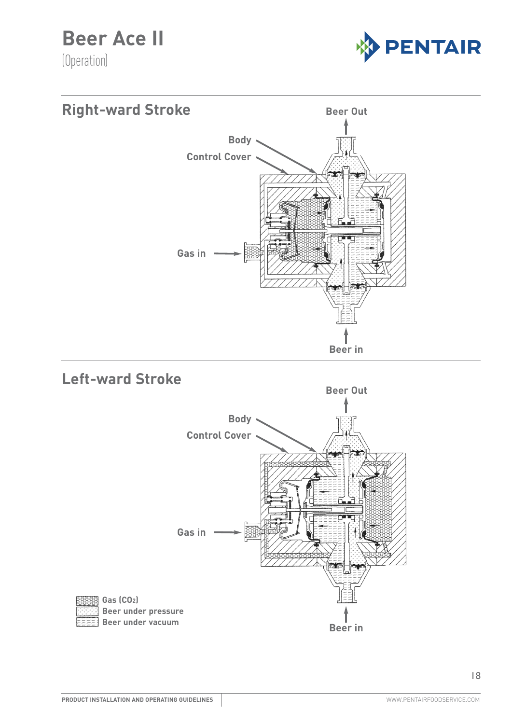**Beer Ace II** 

(Operation)





### **Left-ward Stroke**

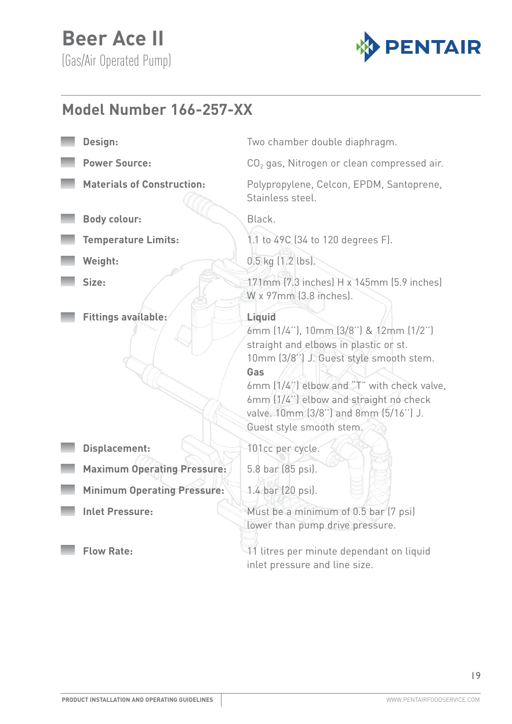

#### Specification **Model Number 166-257-XX**

- 
- -
- **Body colour:** Black.
- 
- 
- 
- **Fittings available:** Liquid
- **Design:** Two chamber double diaphragm.
- **Power Source:** CO<sub>2</sub> gas, Nitrogen or clean compressed air.
- **Materials of Construction:** Polypropylene, Celcon, EPDM, Santoprene, Stainless steel.
	-
- **Temperature Limits:** 1.1 to 49C (34 to 120 degrees F).
- **Weight:** 0.5 kg (1.2 lbs).
- **Size:** 171mm (7.3 inches) H x 145mm (5.9 inches) W x 97mm (3.8 inches).
	-
	- 6mm (1/4''), 10mm (3/8'') & 12mm (1/2'') straight and elbows in plastic or st. 10mm (3/8'') J. Guest style smooth stem. **Gas**
	- 6mm (1/4'') elbow and "T" with check valve, 6mm (1/4'') elbow and straight no check valve. 10mm (3/8'') and 8mm (5/16'') J. Guest style smooth stem.
- **Displacement:** 101cc per cycle.
- Maximum Operating Pressure: 5.8 bar (85 psi).
- Minimum Operating Pressure: 1.4 bar (20 psi).
- -
- **Inlet Pressure:** Must be a minimum of 0.5 bar (7 psi) lower than pump drive pressure.
	- **Flow Rate:** 11 litres per minute dependant on liquid inlet pressure and line size.